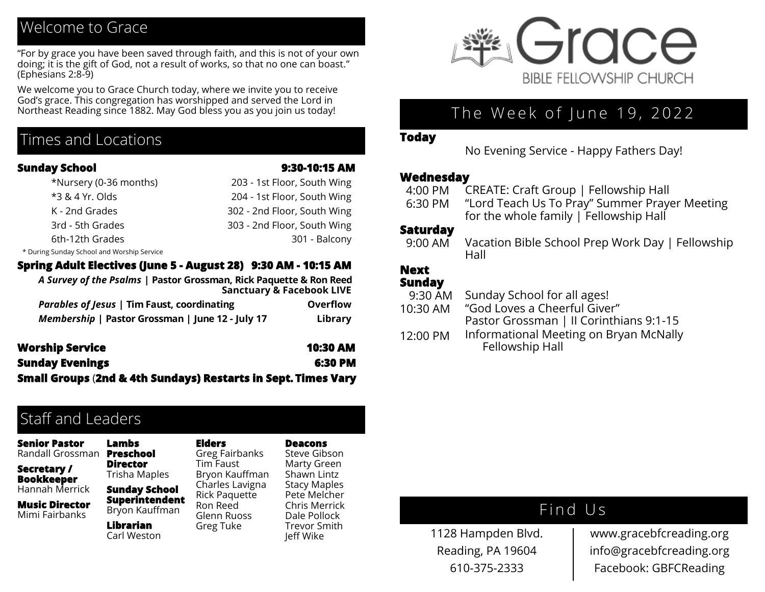# Welcome to Grace

"For by grace you have been saved through faith, and this is not of your own doing; it is the gift of God, not a result of works, so that no one can boast." (Ephesians 2:8-9)

We welcome you to Grace Church today, where we invite you to receive God's grace. This congregation has worshipped and served the Lord in Northeast Reading since 1882. May God bless you as you join us today!

### Times and Locations

#### **Sunday School 9:30-10:15 AM**

| *Nursery (0-36 months)                     | 203 - 1st Floor, South Wing |
|--------------------------------------------|-----------------------------|
| *3 & 4 Yr. Olds                            | 204 - 1st Floor, South Wing |
| K - 2nd Grades                             | 302 - 2nd Floor, South Wing |
| 3rd - 5th Grades                           | 303 - 2nd Floor, South Wing |
| 6th-12th Grades                            | 301 - Balcony               |
| * During Sunday School and Worship Service |                             |

### **Spring Adult Electives (June 5 - August 28) 9:30 AM - 10:15 AM**

| A Survey of the Psalms   Pastor Grossman, Rick Paquette & Ron Reed<br><b>Sanctuary &amp; Facebook LIVE</b> |          |
|------------------------------------------------------------------------------------------------------------|----------|
| <i>Parables of Jesus</i>   Tim Faust, coordinating                                                         | Overflow |
| Membership   Pastor Grossman   June 12 - July 17                                                           | Library  |

| <b>Worship Service</b>                                                   | <b>10:30 AM</b> |
|--------------------------------------------------------------------------|-----------------|
| <b>Sunday Evenings</b>                                                   | 6:30 PM         |
| <b>Small Groups (2nd &amp; 4th Sundays) Restarts in Sept. Times Vary</b> |                 |

**Elders**

# Staff and Leaders

**Lambs** 

| Senior Pastor | Randall Grossman |
|---------------|------------------|
|               |                  |

**Secretary / Bookkeeper** Hannah Merrick

**Music Director** Mimi Fairbanks

**Preschool Director** Trisha Maples **Sunday School Superintendent**  Bryon Kauffman **Librarian**  Carl Weston Greg Fairbanks Tim Faust Bryon Kauffman Charles Lavigna Rick Paquette Ron Reed Glenn Ruoss Greg Tuke

**Deacons** Steve Gibson Marty Green Shawn Lintz Stacy Maples Pete Melcher Chris Merrick Dale Pollock Trevor Smith Jeff Wike



# The Week of June 19, 2022

#### **Today**

No Evening Service - Happy Fathers Day!

#### **Wednesday**

| 4:00 PM  | CREATE: Craft Group   Fellowship Hall                                                   |
|----------|-----------------------------------------------------------------------------------------|
| 6:30 PM  | "Lord Teach Us To Pray" Summer Prayer Meeting<br>for the whole family   Fellowship Hall |
| Saturday |                                                                                         |
| 9:00 AM  | Vacation Bible School Prep Work Day   Fellowship<br>Hall                                |
| Next     |                                                                                         |
| Sunday   |                                                                                         |
| 9:30 AM  | Sunday School for all ages!                                                             |
| 10:30 AM | "God Loves a Cheerful Giver"                                                            |
|          | Pastor Grossman   Il Corinthians 9:1-15                                                 |
| 12:00 PM | Informational Meeting on Bryan McNally                                                  |

Fellowship Hall

## Find Us

1128 Hampden Blvd. Reading, PA 19604 610-375-2333

www.gracebfcreading.org info@gracebfcreading.org Facebook: GBFCReading